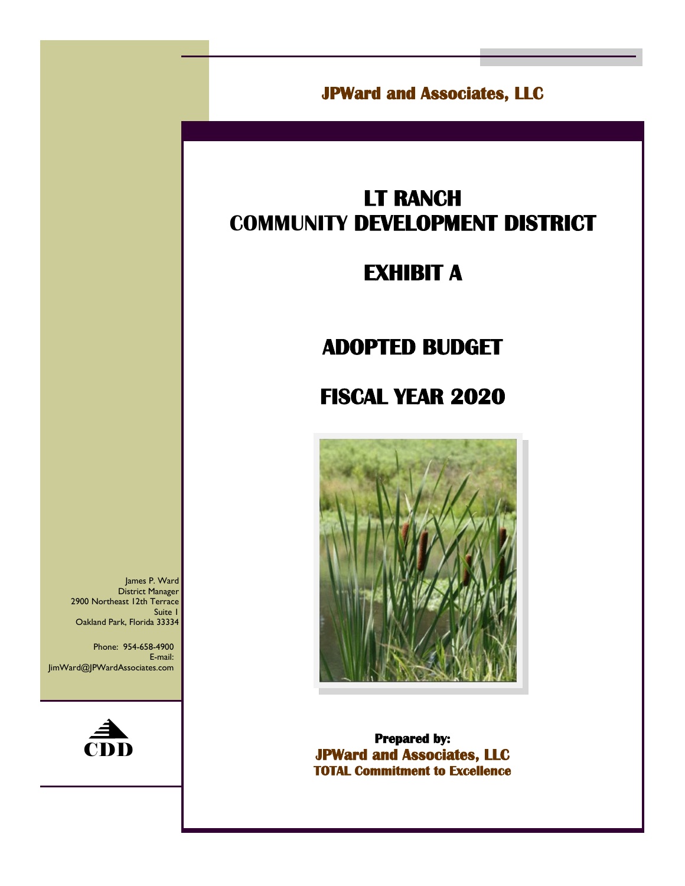**JPWard and Associates, LLC** 

# **LT RANCH COMMUNITY DEVELOPMENT DISTRICT**

## **EXHIBIT A**

# **ADOPTED BUDGET**

# **FISCAL YEAR 2020**



**Prepared by: JPWard and Associates, LLC TOTAL Commitment to Excellence** 

James P. Ward District Manager 2900 Northeast 12th Terrace Suite 1 Oakland Park, Florida 33334

Phone: 954-658-4900 E-mail: JimWard@JPWardAssociates.com

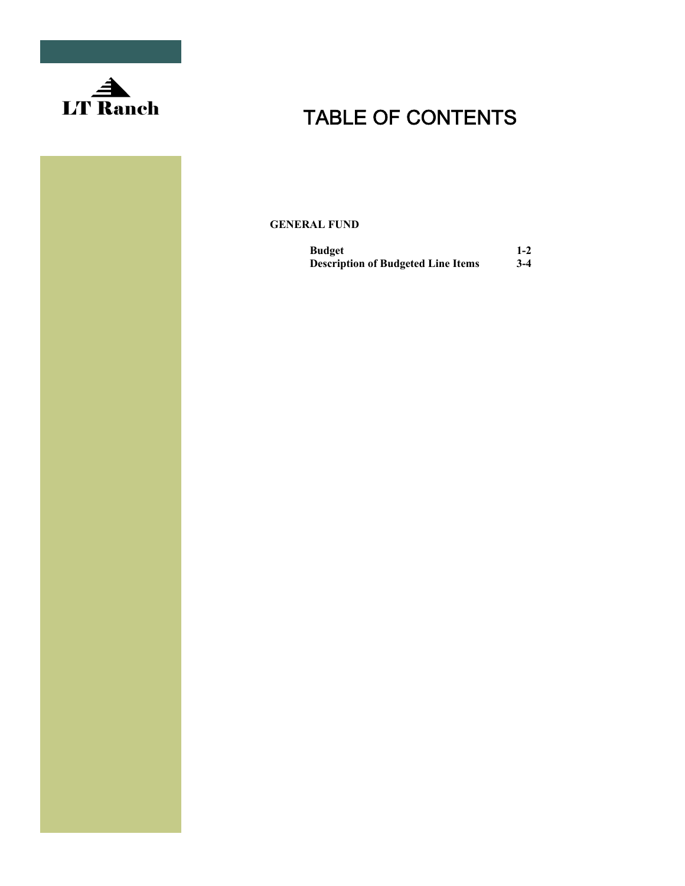

**GENERAL FUND** 

| <b>Budget</b>                             | $1-2$ |
|-------------------------------------------|-------|
| <b>Description of Budgeted Line Items</b> | $3-4$ |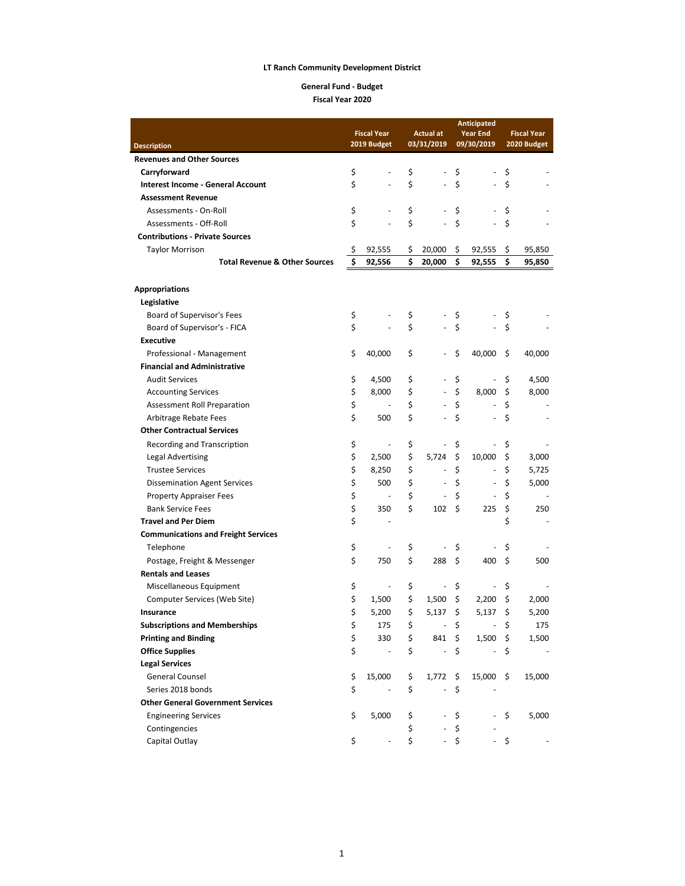**General Fund - Budget Fiscal Year 2020**

|                                                       | <b>Anticipated</b> |                              |          |                              |                    |                |                    |             |
|-------------------------------------------------------|--------------------|------------------------------|----------|------------------------------|--------------------|----------------|--------------------|-------------|
|                                                       |                    | <b>Fiscal Year</b>           |          | <b>Actual at</b>             | <b>Year End</b>    |                | <b>Fiscal Year</b> |             |
| <b>Description</b>                                    |                    | 2019 Budget                  |          | 03/31/2019                   |                    | 09/30/2019     |                    | 2020 Budget |
| <b>Revenues and Other Sources</b>                     |                    |                              |          |                              |                    |                |                    |             |
| Carryforward                                          | \$                 |                              | \$       |                              | \$                 |                | \$                 |             |
| <b>Interest Income - General Account</b>              | \$                 |                              | \$       | ÷,                           | \$                 |                | \$                 |             |
| <b>Assessment Revenue</b>                             |                    |                              |          |                              |                    |                |                    |             |
| Assessments - On-Roll                                 | \$                 |                              | \$       |                              | \$                 |                | \$                 |             |
| Assessments - Off-Roll                                | \$                 |                              | \$       |                              | $\mathsf{\hat{S}}$ |                | \$                 |             |
| <b>Contributions - Private Sources</b>                |                    |                              |          |                              |                    |                |                    |             |
| <b>Taylor Morrison</b>                                | \$                 | 92,555                       | Ş        | 20,000                       | \$                 | 92,555         | \$                 | 95,850      |
| <b>Total Revenue &amp; Other Sources</b>              | \$                 | 92,556                       | \$       | 20,000                       | \$                 | 92,555         | \$                 | 95,850      |
| <b>Appropriations</b>                                 |                    |                              |          |                              |                    |                |                    |             |
| Legislative                                           |                    |                              |          |                              |                    |                |                    |             |
| Board of Supervisor's Fees                            | \$                 |                              | \$       |                              | \$                 |                | \$                 |             |
| Board of Supervisor's - FICA                          | \$                 |                              | \$       |                              | \$                 |                | \$                 |             |
| <b>Executive</b>                                      |                    |                              |          |                              |                    |                |                    |             |
| Professional - Management                             | \$                 | 40,000                       | \$       | $\blacksquare$               | \$                 | 40,000         | \$                 | 40,000      |
| <b>Financial and Administrative</b>                   |                    |                              |          |                              |                    |                |                    |             |
| <b>Audit Services</b>                                 | \$                 | 4,500                        | \$       | $\frac{1}{2}$                | \$                 |                | \$                 | 4,500       |
| <b>Accounting Services</b>                            | \$                 | 8,000                        | \$       | $\overline{a}$               | \$                 | 8,000          | \$                 | 8,000       |
| Assessment Roll Preparation                           | \$                 |                              | \$       |                              | \$                 |                | \$                 |             |
| <b>Arbitrage Rebate Fees</b>                          | \$                 | 500                          | \$       |                              | $\mathsf{\hat{S}}$ |                | \$                 |             |
| <b>Other Contractual Services</b>                     |                    |                              |          |                              |                    |                |                    |             |
| Recording and Transcription                           | \$                 | ÷,                           | \$       | $\overline{a}$               | \$                 |                | \$                 |             |
| <b>Legal Advertising</b>                              | \$                 | 2,500                        | \$       | 5,724                        | \$                 | 10,000         | \$                 | 3,000       |
| <b>Trustee Services</b>                               | \$                 | 8,250                        | \$       | $\qquad \qquad \blacksquare$ | \$                 | $\blacksquare$ | \$                 | 5,725       |
| <b>Dissemination Agent Services</b>                   | \$                 | 500                          | \$       | $\frac{1}{2}$                | \$                 |                | \$                 | 5,000       |
| <b>Property Appraiser Fees</b>                        | \$                 | $\overline{\phantom{a}}$     | \$       |                              | \$                 |                | \$                 |             |
| <b>Bank Service Fees</b>                              | \$                 | 350                          | \$       | 102                          | \$                 | 225            | \$                 | 250         |
| <b>Travel and Per Diem</b>                            | \$                 |                              |          |                              |                    |                | \$                 |             |
| <b>Communications and Freight Services</b>            |                    |                              |          |                              |                    |                |                    |             |
| Telephone                                             | \$                 |                              | \$       |                              | \$                 |                | \$                 |             |
| Postage, Freight & Messenger                          | \$                 | 750                          | \$       | 288                          | \$                 | 400            | \$                 | 500         |
| <b>Rentals and Leases</b>                             |                    |                              |          |                              |                    |                |                    |             |
| Miscellaneous Equipment                               | \$                 |                              | \$       |                              | \$                 |                | \$                 |             |
|                                                       | \$                 | 1,500                        | \$       | 1,500                        | \$                 | 2,200          | \$                 | 2,000       |
| Computer Services (Web Site)<br>Insurance             | \$                 | 5,200                        | \$       | 5,137                        | \$                 | 5,137          | \$                 | 5,200       |
|                                                       |                    |                              |          |                              | \$                 |                |                    |             |
| <b>Subscriptions and Memberships</b>                  | \$                 | 175<br>330                   | \$<br>\$ | ÷                            | \$                 |                | \$                 | 175         |
| <b>Printing and Binding</b><br><b>Office Supplies</b> | \$                 |                              |          | 841<br>L,                    | \$                 | 1,500          | \$                 | 1,500       |
|                                                       | \$                 | $\qquad \qquad \blacksquare$ | \$       |                              |                    |                | \$                 |             |
| <b>Legal Services</b>                                 |                    |                              |          |                              |                    |                |                    |             |
| <b>General Counsel</b>                                | \$                 | 15,000                       | \$       | 1,772                        | \$                 | 15,000         | \$                 | 15,000      |
| Series 2018 bonds                                     | \$                 |                              | \$       |                              | \$                 |                |                    |             |
| <b>Other General Government Services</b>              |                    |                              |          |                              |                    |                |                    |             |
| <b>Engineering Services</b>                           | \$                 | 5,000                        | \$       |                              | \$                 |                | \$                 | 5,000       |
| Contingencies                                         |                    |                              | \$       |                              | \$                 |                |                    |             |
| Capital Outlay                                        | \$                 |                              | \$       |                              | \$                 |                | \$                 |             |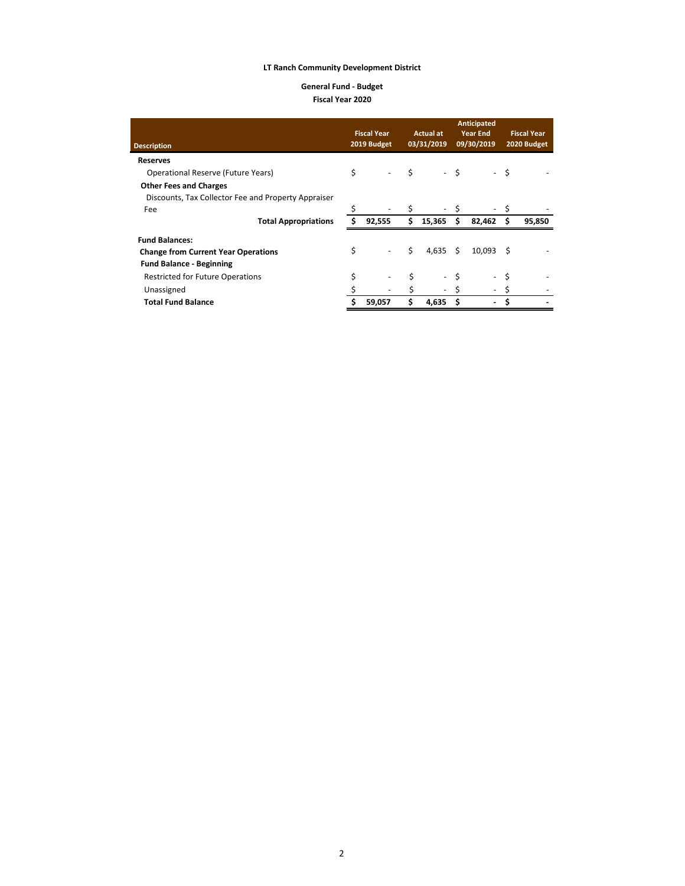#### **General Fund - Budget Fiscal Year 2020**

| <b>Description</b>                                  |    | <b>Fiscal Year</b><br><b>Actual at</b><br>03/31/2019<br>2019 Budget |    | <b>Anticipated</b><br><b>Year End</b><br>09/30/2019 |      | <b>Fiscal Year</b><br>2020 Budget |    |        |
|-----------------------------------------------------|----|---------------------------------------------------------------------|----|-----------------------------------------------------|------|-----------------------------------|----|--------|
| <b>Reserves</b>                                     |    |                                                                     |    |                                                     |      |                                   |    |        |
| Operational Reserve (Future Years)                  | \$ | $\overline{\phantom{a}}$                                            | Ŝ. |                                                     | - \$ |                                   | \$ |        |
| <b>Other Fees and Charges</b>                       |    |                                                                     |    |                                                     |      |                                   |    |        |
| Discounts, Tax Collector Fee and Property Appraiser |    |                                                                     |    |                                                     |      |                                   |    |        |
| Fee                                                 | \$ | $\overline{\phantom{a}}$                                            | \$ | $\overline{\phantom{a}}$                            |      |                                   |    |        |
| <b>Total Appropriations</b>                         | Ś  | 92,555                                                              | Ś. | 15,365                                              | S    | 82,462                            | Ś  | 95,850 |
| <b>Fund Balances:</b>                               |    |                                                                     |    |                                                     |      |                                   |    |        |
| <b>Change from Current Year Operations</b>          | \$ |                                                                     | Ś  | 4,635                                               | Ŝ.   | 10,093                            | .S |        |
| <b>Fund Balance - Beginning</b>                     |    |                                                                     |    |                                                     |      |                                   |    |        |
| <b>Restricted for Future Operations</b>             |    |                                                                     |    | $\overline{\phantom{a}}$                            |      |                                   |    |        |
| Unassigned                                          |    |                                                                     |    | $\overline{\phantom{a}}$                            |      |                                   |    |        |
| <b>Total Fund Balance</b>                           |    | 59,057                                                              | Ś  | 4.635                                               |      |                                   |    |        |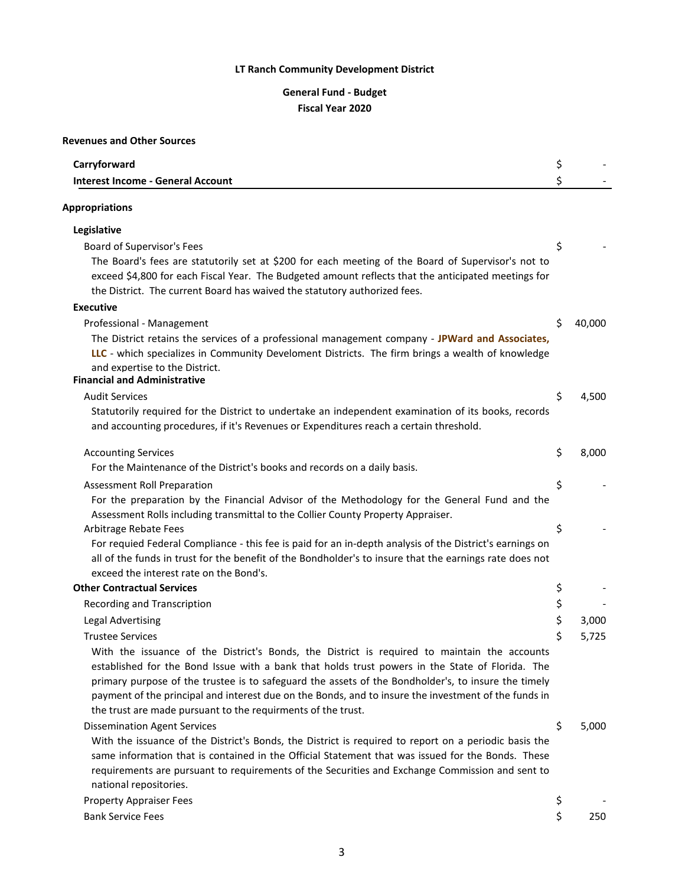### **General Fund - Budget Fiscal Year 2020**

### **Revenues and Other Sources**

| Carryforward                                                                                                                                                         | \$ |        |
|----------------------------------------------------------------------------------------------------------------------------------------------------------------------|----|--------|
| <b>Interest Income - General Account</b>                                                                                                                             | \$ |        |
| <b>Appropriations</b>                                                                                                                                                |    |        |
|                                                                                                                                                                      |    |        |
| Legislative                                                                                                                                                          |    |        |
| Board of Supervisor's Fees                                                                                                                                           | \$ |        |
| The Board's fees are statutorily set at \$200 for each meeting of the Board of Supervisor's not to                                                                   |    |        |
| exceed \$4,800 for each Fiscal Year. The Budgeted amount reflects that the anticipated meetings for                                                                  |    |        |
| the District. The current Board has waived the statutory authorized fees.                                                                                            |    |        |
| <b>Executive</b>                                                                                                                                                     |    |        |
| Professional - Management                                                                                                                                            | Ś  | 40,000 |
| The District retains the services of a professional management company - JPWard and Associates,                                                                      |    |        |
| LLC - which specializes in Community Develoment Districts. The firm brings a wealth of knowledge<br>and expertise to the District.                                   |    |        |
| <b>Financial and Administrative</b>                                                                                                                                  |    |        |
| <b>Audit Services</b>                                                                                                                                                | \$ | 4,500  |
| Statutorily required for the District to undertake an independent examination of its books, records                                                                  |    |        |
| and accounting procedures, if it's Revenues or Expenditures reach a certain threshold.                                                                               |    |        |
| <b>Accounting Services</b>                                                                                                                                           | \$ | 8,000  |
| For the Maintenance of the District's books and records on a daily basis.                                                                                            |    |        |
| Assessment Roll Preparation                                                                                                                                          | \$ |        |
| For the preparation by the Financial Advisor of the Methodology for the General Fund and the                                                                         |    |        |
| Assessment Rolls including transmittal to the Collier County Property Appraiser.                                                                                     |    |        |
| Arbitrage Rebate Fees                                                                                                                                                | \$ |        |
| For requied Federal Compliance - this fee is paid for an in-depth analysis of the District's earnings on                                                             |    |        |
| all of the funds in trust for the benefit of the Bondholder's to insure that the earnings rate does not                                                              |    |        |
| exceed the interest rate on the Bond's.                                                                                                                              |    |        |
| <b>Other Contractual Services</b>                                                                                                                                    | \$ |        |
| Recording and Transcription                                                                                                                                          | \$ |        |
| <b>Legal Advertising</b>                                                                                                                                             | \$ | 3,000  |
| <b>Trustee Services</b>                                                                                                                                              | \$ | 5,725  |
| With the issuance of the District's Bonds, the District is required to maintain the accounts                                                                         |    |        |
| established for the Bond Issue with a bank that holds trust powers in the State of Florida. The                                                                      |    |        |
| primary purpose of the trustee is to safeguard the assets of the Bondholder's, to insure the timely                                                                  |    |        |
| payment of the principal and interest due on the Bonds, and to insure the investment of the funds in<br>the trust are made pursuant to the requirments of the trust. |    |        |
| <b>Dissemination Agent Services</b>                                                                                                                                  | \$ | 5,000  |
| With the issuance of the District's Bonds, the District is required to report on a periodic basis the                                                                |    |        |
| same information that is contained in the Official Statement that was issued for the Bonds. These                                                                    |    |        |
| requirements are pursuant to requirements of the Securities and Exchange Commission and sent to                                                                      |    |        |
| national repositories.                                                                                                                                               |    |        |
| <b>Property Appraiser Fees</b>                                                                                                                                       | \$ |        |
| <b>Bank Service Fees</b>                                                                                                                                             | \$ | 250    |